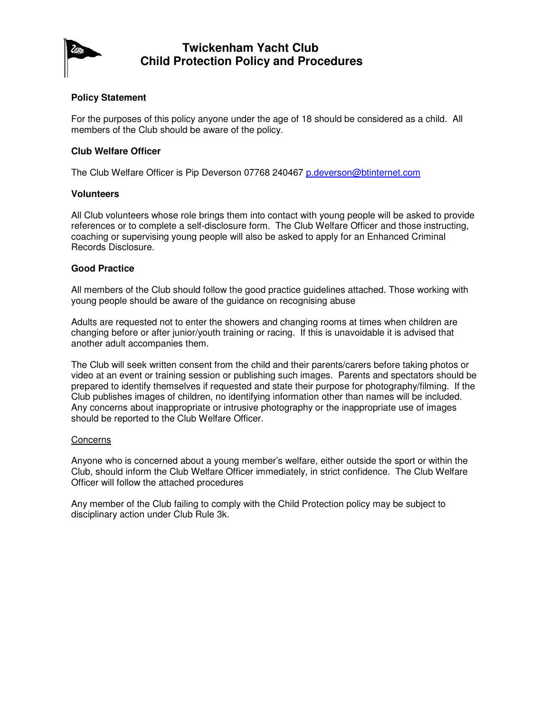

## **Twickenham Yacht Club Child Protection Policy and Procedures**

#### **Policy Statement**

For the purposes of this policy anyone under the age of 18 should be considered as a child. All members of the Club should be aware of the policy.

#### **Club Welfare Officer**

The Club Welfare Officer is Pip Deverson 07768 240467 p.deverson@btinternet.com

#### **Volunteers**

All Club volunteers whose role brings them into contact with young people will be asked to provide references or to complete a self-disclosure form. The Club Welfare Officer and those instructing, coaching or supervising young people will also be asked to apply for an Enhanced Criminal Records Disclosure.

#### **Good Practice**

All members of the Club should follow the good practice guidelines attached. Those working with young people should be aware of the guidance on recognising abuse

Adults are requested not to enter the showers and changing rooms at times when children are changing before or after junior/youth training or racing. If this is unavoidable it is advised that another adult accompanies them.

The Club will seek written consent from the child and their parents/carers before taking photos or video at an event or training session or publishing such images. Parents and spectators should be prepared to identify themselves if requested and state their purpose for photography/filming. If the Club publishes images of children, no identifying information other than names will be included. Any concerns about inappropriate or intrusive photography or the inappropriate use of images should be reported to the Club Welfare Officer.

#### **Concerns**

Anyone who is concerned about a young member's welfare, either outside the sport or within the Club, should inform the Club Welfare Officer immediately, in strict confidence. The Club Welfare Officer will follow the attached procedures

Any member of the Club failing to comply with the Child Protection policy may be subject to disciplinary action under Club Rule 3k.